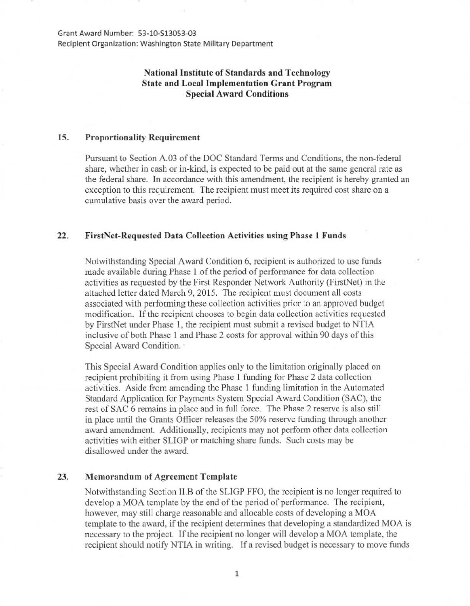Grant Award Number: 53-10-513053-03 Recipient Organization: Washington State Military Department

# National Institute of Standards and Technology State and Local Implementation Grant Program Special Award Conditions

## 15. Proportionality Requirement

Pursuant to Section A.03 of the DOC Standard Terms and Conditions, the non-federal share, whether in cash or in-kind, is expected to be paid out at the same general rate as the federal share. In accordance with this amendment, the recipient is hereby granted an exception to this requirement. The recipient must meet its required cost share on a cumulative basis over the award period.

### 22. FirstNet-Requcstcd Data Collection Activities using Phase 1 Funds

Notwithstanding Special Award Condition 6, recipient is authorized to use funds made available during Phase 1 of the period of performance for data collection activities as requested by the First Responder Network Authority (FirstNet) in the attached letter dated March 9, 2015. The recipient must document all costs associated with performing these collection activities prior to an approved budget modification. If the recipient chooses to begin data collection activities requested by FirstNet under Phase 1, the recipient must submit a revised budget to NTIA inclusive of both Phase 1 and Phase 2 costs for approval within 90 days of this Special Award Condition.

This Special Award Condition applies only to the limitation originally placed on recipient prohibiting it from using Phase 1 funding for Phase 2 data collection activities. Aside from amending the Phase 1 funding limitation in the Automated Standard Application for Payments System Special Award Condition (SAC), the rest of SAC 6 remains in place and in full force. The Phase 2 reserve is also still in place until the Grants Officer releases the 50% reserve funding through another award amendment. Additionally, recipients may not perform other data collection activities with either SLIGP or matching share funds. Such costs may be disallowed under the award.

### 23. Memorandum of Agreement Template

Notwithstanding Section ll.B of the SLIGP FFO, the recipient is no longer required to develop a MOA template by the end of the period of performance. The recipient, however, may still charge reasonable and allocable costs of developing a MOA template to the award, if the recipient determines that developing a standardized MOA is necessary to the project. If the recipient no longer will develop a MOA template, the recipient should notify NTIA in writing. If a revised budget is necessary to move funds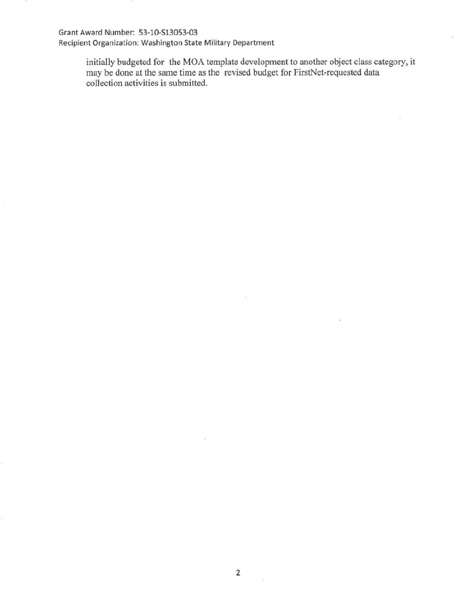### Grant Award Number: 53-10-S13053-03

Recipient Organization: Washington State Military Department

initially budgeted for the MOA template development to another object class category, it may be done at the same time as the revised budget for FirstNet-requested data collection activities is submitted.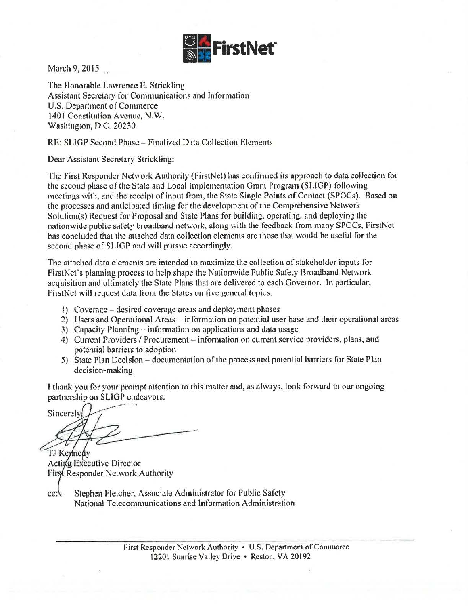

March 9, 2015

The Honorable Lawrence E. Strickling Assistant Secretary for Communications and lnformation U.S. Department of Commerce 1401 Constitution Avenue, N.W. Washington, D.C. 20230

RE: SLJGP Second Phase- Finalized Data Collection Elements

Dear Assistant Secretary Strickling:

The First Responder Network Authority (FirstNet) has confirmed its approach to data collection for the second phase of the State and Local Implementation Grant Program (SUGP) following meetings with, and the receipt of input from, the State Single Points of Contact (SPOCs). Based on the processes and anticipated timing for the development of the Comprehensive Network Solution(s) Request for Proposal and State Plans for building, operating, and deploying the nationwide public safety broadband network, along with the feedback from many SPOCs, FirstNet bas concluded that the attached data collection elements are those that would be useful for the second phase of SLIGP and will pursue accordingly.

The attached data elements are intended to maximize the collection of stakeholder inputs for FirstNet's planning process to help shape the Nationwide Public Safety Broadband Network acquisition and ultimately the State Plans that are delivered to each Govemor. In particular, FirstNct will request data from the States on five general topics:

- I) Coverage desired coverage areas and deployment phases
- 2) Users and Operational Areas- information on potential user base and their operational areas
- $3)$  Capacity Planning information on applications and data usage
- 4) Current Providers / Procurement information on current service providers, plans, and potential barriers to adoption
- 5) State Plan Decision documentation of the process and potential barriers for State Plan decision-making

I thank you for your prompt attention to this matter and, as always, look forward to *ow·* ongoing partnership on SUGP endeavors.

Sincerely

TJ Kennedy Actigg Executive Director First Responder Network Authority

cc: Stephen Fletcher, Associate Administrator for Public Safety National Telecommunications and Information Administration